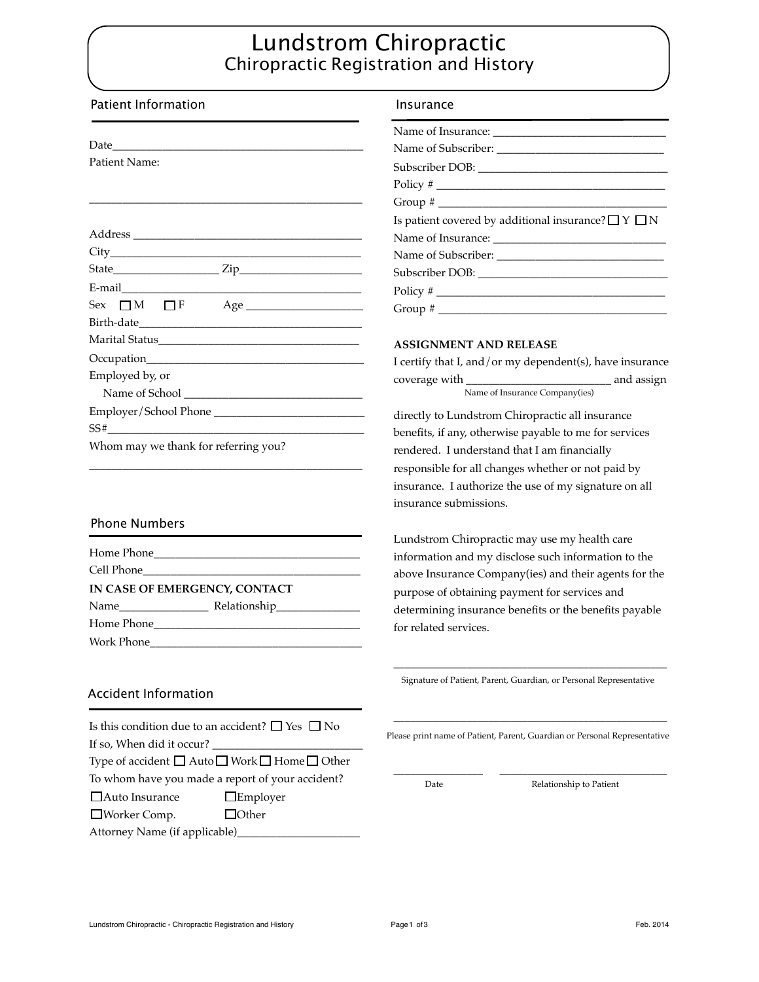## Lundstrom Chiropractic Chiropractic Registration and History

| <b>Patient Information</b>                                 | Insurance                                                                 |
|------------------------------------------------------------|---------------------------------------------------------------------------|
|                                                            |                                                                           |
|                                                            |                                                                           |
| Patient Name:                                              |                                                                           |
|                                                            |                                                                           |
|                                                            | Group # $\_$                                                              |
|                                                            | Is patient covered by additional insurance? $\Box$ Y $\Box$ N             |
|                                                            |                                                                           |
|                                                            |                                                                           |
|                                                            |                                                                           |
|                                                            |                                                                           |
| $Sex \t M \t F$ $Age$                                      |                                                                           |
|                                                            |                                                                           |
|                                                            | <b>ASSIGNMENT AND RELEASE</b>                                             |
|                                                            | I certify that I, and/or my dependent(s), have insurance                  |
| Employed by, or                                            |                                                                           |
|                                                            | Name of Insurance Company(ies)                                            |
|                                                            | directly to Lundstrom Chiropractic all insurance                          |
|                                                            | benefits, if any, otherwise payable to me for services                    |
| Whom may we thank for referring you?                       | rendered. I understand that I am financially                              |
|                                                            | responsible for all changes whether or not paid by                        |
|                                                            | insurance. I authorize the use of my signature on all                     |
|                                                            | insurance submissions.                                                    |
| <b>Phone Numbers</b>                                       |                                                                           |
|                                                            | Lundstrom Chiropractic may use my health care                             |
|                                                            | information and my disclose such information to the                       |
|                                                            | above Insurance Company(ies) and their agents for the                     |
| IN CASE OF EMERGENCY, CONTACT                              | purpose of obtaining payment for services and                             |
|                                                            | determining insurance benefits or the benefits payable                    |
|                                                            | for related services.                                                     |
| Work Phone                                                 |                                                                           |
|                                                            |                                                                           |
|                                                            | Signature of Patient, Parent, Guardian, or Personal Representative        |
| <b>Accident Information</b>                                |                                                                           |
| Is this condition due to an accident? $\Box$ Yes $\Box$ No |                                                                           |
| If so, When did it occur?                                  | Please print name of Patient, Parent, Guardian or Personal Representative |
| Type of accident □ Auto □ Work □ Home □ Other              |                                                                           |
| To whom have you made a report of your accident?           |                                                                           |
| □ Auto Insurance<br>$\Box$ Employer                        | Relationship to Patient<br>Date                                           |
| $\Box$ Other<br>□Worker Comp.                              |                                                                           |
| Attorney Name (if applicable)_                             |                                                                           |
|                                                            |                                                                           |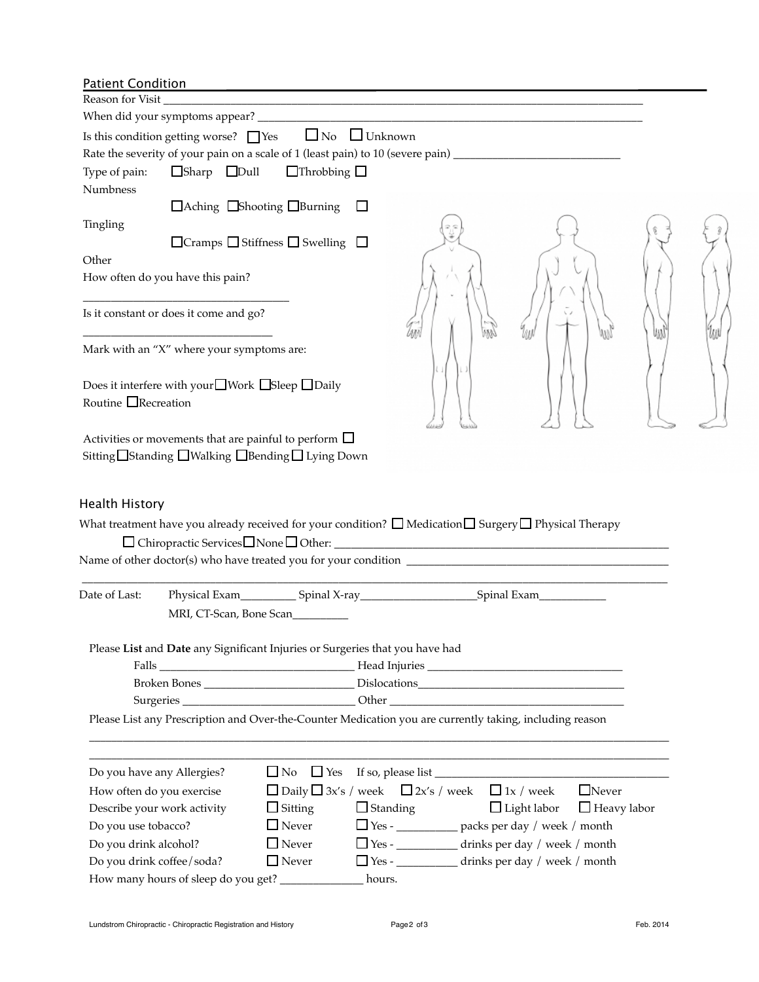|--|

| i aucht conaition<br>Reason for Visit              |                                                |                                                                                                                       |                                                                                                                     |                    |                    |    |
|----------------------------------------------------|------------------------------------------------|-----------------------------------------------------------------------------------------------------------------------|---------------------------------------------------------------------------------------------------------------------|--------------------|--------------------|----|
|                                                    |                                                |                                                                                                                       |                                                                                                                     |                    |                    |    |
|                                                    |                                                | Is this condition getting worse? $\Box$ Yes $\Box$ No $\Box$ Unknown                                                  |                                                                                                                     |                    |                    |    |
|                                                    |                                                | Rate the severity of your pain on a scale of 1 (least pain) to 10 (severe pain) ______________________________        |                                                                                                                     |                    |                    |    |
| Type of pain:<br>Numbness                          | $\Box$ Sharp $\Box$ Dull                       | $\Box$ Throbbing $\Box$                                                                                               |                                                                                                                     |                    |                    |    |
|                                                    |                                                | $\Box$ Aching $\Box$ Shooting $\Box$ Burning $\Box$                                                                   |                                                                                                                     |                    |                    |    |
| Tingling                                           |                                                |                                                                                                                       |                                                                                                                     |                    |                    |    |
|                                                    |                                                | $\Box$ Cramps $\Box$ Stiffness $\Box$ Swelling $\Box$                                                                 |                                                                                                                     |                    |                    |    |
| Other                                              |                                                |                                                                                                                       |                                                                                                                     |                    |                    |    |
|                                                    | How often do you have this pain?               |                                                                                                                       |                                                                                                                     |                    |                    |    |
|                                                    | Is it constant or does it come and go?         |                                                                                                                       | Иñ                                                                                                                  |                    |                    | WW |
|                                                    | Mark with an "X" where your symptoms are:      |                                                                                                                       |                                                                                                                     |                    |                    |    |
|                                                    | Does it interfere with your□Work □Sleep □Daily |                                                                                                                       |                                                                                                                     |                    |                    |    |
| Routine $\Box$ Recreation                          |                                                |                                                                                                                       |                                                                                                                     |                    |                    |    |
|                                                    |                                                | Activities or movements that are painful to perform $\square$<br>Sitting□Standing □Walking □Bending □ Lying Down      |                                                                                                                     |                    |                    |    |
| Health History                                     |                                                | What treatment have you already received for your condition? $\Box$ Medication $\Box$ Surgery $\Box$ Physical Therapy |                                                                                                                     |                    |                    |    |
|                                                    |                                                |                                                                                                                       |                                                                                                                     |                    |                    |    |
| Date of Last:                                      | MRI, CT-Scan, Bone Scan                        |                                                                                                                       |                                                                                                                     |                    |                    |    |
|                                                    |                                                | Please List and Date any Significant Injuries or Surgeries that you have had                                          |                                                                                                                     |                    |                    |    |
|                                                    |                                                |                                                                                                                       |                                                                                                                     |                    |                    |    |
|                                                    |                                                | Please List any Prescription and Over-the-Counter Medication you are currently taking, including reason               |                                                                                                                     |                    |                    |    |
|                                                    |                                                |                                                                                                                       | <u> 1989 - Johann John Stoff, deutscher Stoffen und der Stoffen und der Stoffen und der Stoffen und der Stoffen</u> |                    |                    |    |
| Do you have any Allergies?                         |                                                |                                                                                                                       |                                                                                                                     |                    |                    |    |
| How often do you exercise                          |                                                |                                                                                                                       | $\Box$ Daily $\Box$ 3x's / week $\Box$ 2x's / week $\Box$ 1x / week                                                 |                    | $\Box$ Never       |    |
|                                                    | Describe your work activity                    | $\Box$ Sitting                                                                                                        | $\Box$ Standing                                                                                                     | $\Box$ Light labor | $\Box$ Heavy labor |    |
| Do you use tobacco?                                |                                                | $\Box$ Never<br>$\Box$ Never                                                                                          | □ Yes - ____________ packs per day / week / month                                                                   |                    |                    |    |
| Do you drink alcohol?<br>Do you drink coffee/soda? |                                                | $\Box$ Never                                                                                                          | □ Yes - ___________ drinks per day / week / month<br>□ Yes - ___________ drinks per day / week / month              |                    |                    |    |